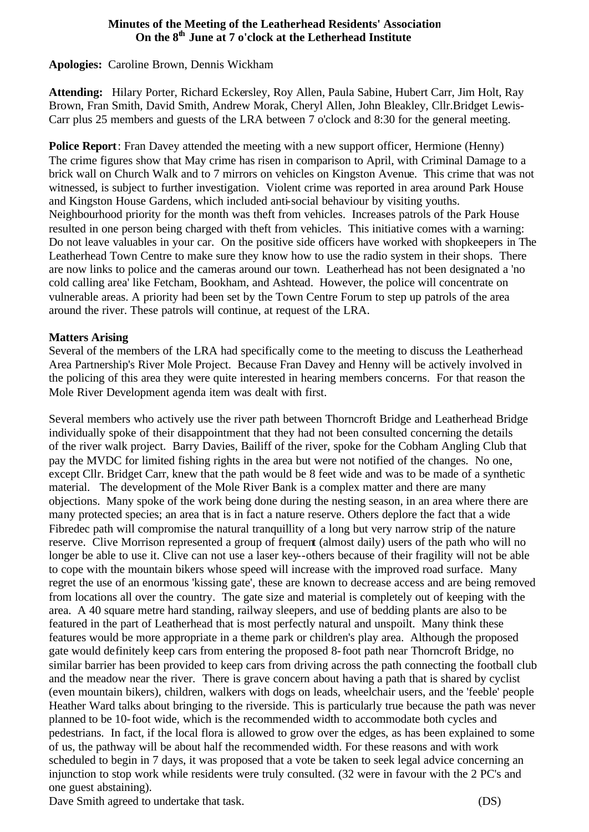### **Minutes of the Meeting of the Leatherhead Residents' Association On the 8th June at 7 o'clock at the Letherhead Institute**

**Apologies:** Caroline Brown, Dennis Wickham

**Attending:** Hilary Porter, Richard Eckersley, Roy Allen, Paula Sabine, Hubert Carr, Jim Holt, Ray Brown, Fran Smith, David Smith, Andrew Morak, Cheryl Allen, John Bleakley, Cllr.Bridget Lewis-Carr plus 25 members and guests of the LRA between 7 o'clock and 8:30 for the general meeting.

**Police Report**: Fran Davey attended the meeting with a new support officer, Hermione (Henny) The crime figures show that May crime has risen in comparison to April, with Criminal Damage to a brick wall on Church Walk and to 7 mirrors on vehicles on Kingston Avenue. This crime that was not witnessed, is subject to further investigation. Violent crime was reported in area around Park House and Kingston House Gardens, which included anti-social behaviour by visiting youths. Neighbourhood priority for the month was theft from vehicles. Increases patrols of the Park House resulted in one person being charged with theft from vehicles. This initiative comes with a warning: Do not leave valuables in your car. On the positive side officers have worked with shopkeepers in The Leatherhead Town Centre to make sure they know how to use the radio system in their shops. There are now links to police and the cameras around our town. Leatherhead has not been designated a 'no cold calling area' like Fetcham, Bookham, and Ashtead. However, the police will concentrate on vulnerable areas. A priority had been set by the Town Centre Forum to step up patrols of the area around the river. These patrols will continue, at request of the LRA.

#### **Matters Arising**

Several of the members of the LRA had specifically come to the meeting to discuss the Leatherhead Area Partnership's River Mole Project. Because Fran Davey and Henny will be actively involved in the policing of this area they were quite interested in hearing members concerns. For that reason the Mole River Development agenda item was dealt with first.

Several members who actively use the river path between Thorncroft Bridge and Leatherhead Bridge individually spoke of their disappointment that they had not been consulted concerning the details of the river walk project. Barry Davies, Bailiff of the river, spoke for the Cobham Angling Club that pay the MVDC for limited fishing rights in the area but were not notified of the changes. No one, except Cllr. Bridget Carr, knew that the path would be 8 feet wide and was to be made of a synthetic material. The development of the Mole River Bank is a complex matter and there are many objections. Many spoke of the work being done during the nesting season, in an area where there are many protected species; an area that is in fact a nature reserve. Others deplore the fact that a wide Fibredec path will compromise the natural tranquillity of a long but very narrow strip of the nature reserve. Clive Morrison represented a group of frequent (almost daily) users of the path who will no longer be able to use it. Clive can not use a laser key--others because of their fragility will not be able to cope with the mountain bikers whose speed will increase with the improved road surface. Many regret the use of an enormous 'kissing gate', these are known to decrease access and are being removed from locations all over the country. The gate size and material is completely out of keeping with the area. A 40 square metre hard standing, railway sleepers, and use of bedding plants are also to be featured in the part of Leatherhead that is most perfectly natural and unspoilt. Many think these features would be more appropriate in a theme park or children's play area. Although the proposed gate would definitely keep cars from entering the proposed 8-foot path near Thorncroft Bridge, no similar barrier has been provided to keep cars from driving across the path connecting the football club and the meadow near the river. There is grave concern about having a path that is shared by cyclist (even mountain bikers), children, walkers with dogs on leads, wheelchair users, and the 'feeble' people Heather Ward talks about bringing to the riverside. This is particularly true because the path was never planned to be 10-foot wide, which is the recommended width to accommodate both cycles and pedestrians. In fact, if the local flora is allowed to grow over the edges, as has been explained to some of us, the pathway will be about half the recommended width. For these reasons and with work scheduled to begin in 7 days, it was proposed that a vote be taken to seek legal advice concerning an injunction to stop work while residents were truly consulted. (32 were in favour with the 2 PC's and one guest abstaining).

Dave Smith agreed to undertake that task. (DS)